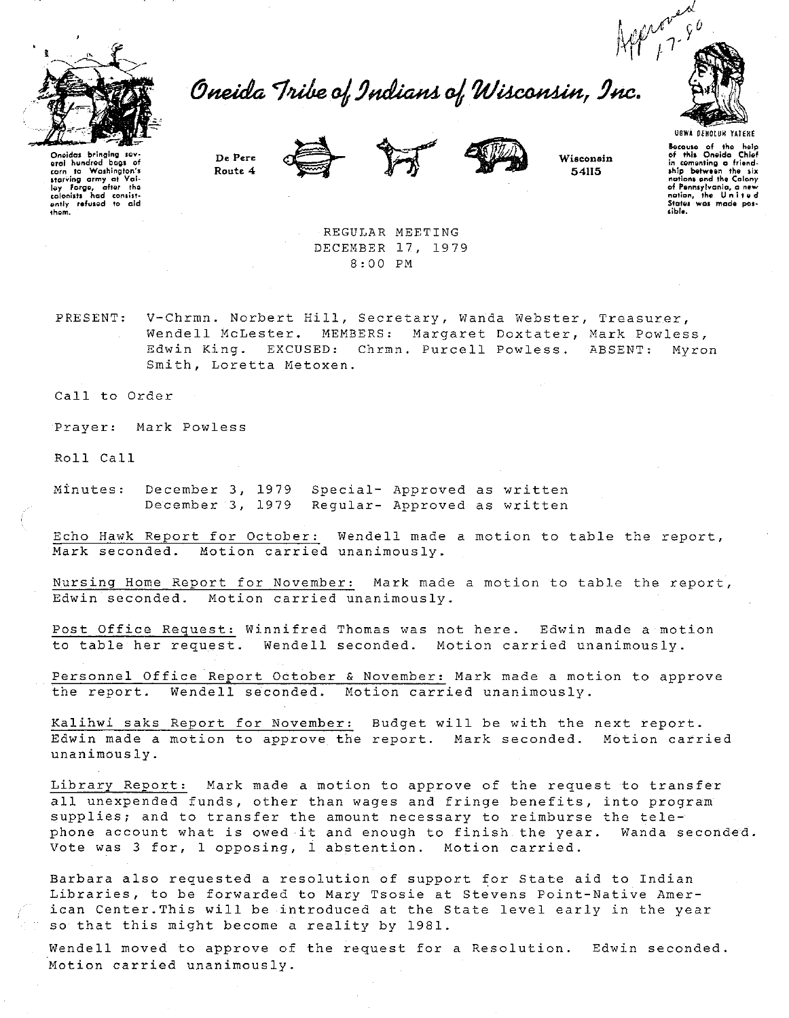

Oneida Tribe of Indians of Wisconsin, Inc.



Oneides bringing aral hundred bags of corn to Washington's<br>starving army at Val-<br>ley forge, after the<br>colonists had consistently refused to aid<br>them.

Route 4





54115

UGWA DENOLUN YATERE Bocause of the help<br>of this Oneida Chief in cementing a friend-<br>ship between the six nations and the Calony nations and the Calony<br>of Pennsylvania, a new<br>nation, the United<br>States was made posты.

REGULAR MEETING DECEMBER 17, 1979 8:00 PM

V-Chrmn. Norbert Hill, Secretary, Wanda Webster, Treasurer, PRESENT: Wendell McLester. MEMBERS: Margaret Doxtater, Mark Powless, Edwin King. EXCUSED: Chrmn. Purcell Powless. ABSENT: Myron Smith, Loretta Metoxen.

Call to Order

Prayer: Mark Powless

Roll Call

December 3, 1979 Special- Approved as written Minutes: December 3, 1979 Regular- Approved as written

Echo Hawk Report for October: Wendell made a motion to table the report, Mark seconded. Motion carried unanimously.

Nursing Home Report for November: Mark made a motion to table the report, Edwin seconded. Motion carried unanimously.

Post Office Request: Winnifred Thomas was not here. Edwin made a motion to table her request. Wendell seconded. Motion carried unanimously.

Personnel Office Report October & November: Mark made a motion to approve Wendell seconded. Motion carried unanimously. the report.

Kalihwi saks Report for November: Budget will be with the next report. Edwin made a motion to approve the report. Mark seconded. Motion carried unanimously.

Library Report: Mark made a motion to approve of the request to transfer all unexpended funds, other than wages and fringe benefits, into program supplies; and to transfer the amount necessary to reimburse the telephone account what is owed it and enough to finish the year. Wanda seconded. Vote was 3 for, 1 opposing, 1 abstention. Motion carried.

Barbara also requested a resolution of support for State aid to Indian Libraries, to be forwarded to Mary Tsosie at Stevens Point-Native American Center. This will be introduced at the State level early in the year so that this might become a reality by 1981.

Wendell moved to approve of the request for a Resolution. Edwin seconded. Motion carried unanimously.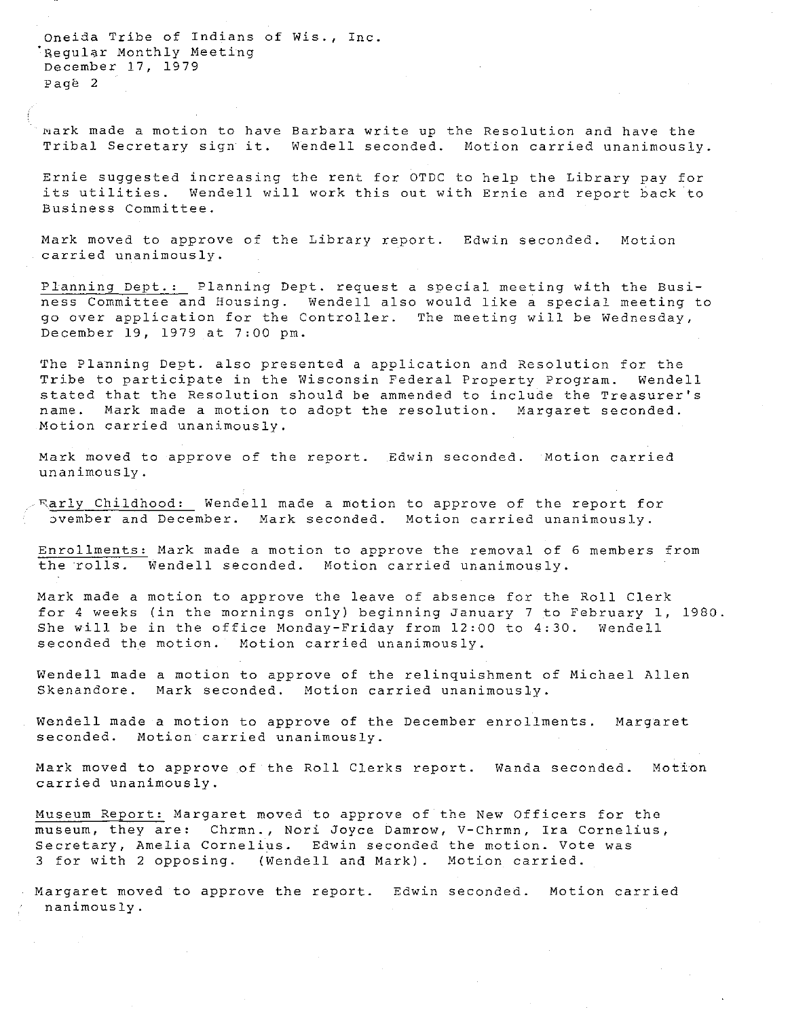**Oneida Tribe of Indians of Wis., Inc.**  .<br>Regular Monthly Meeting December 17, 1979 Page 2

**Bark made a motion to have Barbara write up the Resolution and have the Tribal Secretary sign it. Wendell seconded. Motion carried unanimously.** 

Ernie suggested increasing the rent for OTDC to help the Library pay for its utilities. Wendell will work this out with Ernie and report back to **Business Committee.** 

Mark moved to approve of the Library report. **Edwin seconded. Motion carried unanimously.** 

Planning Dept.: Planning Dept. request a special meeting with the Busi**ness Committee and Housing. Wendell also would like a special meeting to**  go over application for the Controller. The meeting will be Wednesday, December 19, 1979 at 7:00 pm.

The Planning Dept. also presented a application and Resolution for the Tribe to participate in the Wisconsin Federal Property Program. Wendell stated that the Resolution should be ammended to include the Treasurer's **name. Mark made a motion to adopt the resolution. Margaret seconded. Motion carried unanimously.** 

Mark moved to approve of the report. Edwin seconded. **Motion carried unanimously.** 

~arly Childhood: Wendell made a motion to approve of the report for ~vember **and December. Mark seconded. Motion carried unanimously.** 

**Enrollments: Mark made a motion to approve the removal of 6 members from**  the rolls. Wendell seconded. Motion carried unanimously.

Mark made a motion to approve the leave of absence for the Roll Clerk for 4 weeks (in the mornings only) beginning January 7 to February l, 1980. She will be in the office Monday-Friday from 12:00 to 4:30. Wendell **seconded the motion. Motion carried unanimously.** 

Wendell made a motion to approve of the relinquishment of Michael Allen **Skenandore. Mark seconded. Motion carried unanimously.** 

Wendell made a motion to approve of the December enrollments. **Margaret seconded. Motion carried unanimously.** 

Mark moved to approve of the Roll Clerks report. **Wanda seconded. Motion carried unanimously.** 

Museum Report: Margaret moved to approve of the New Officers for the **museum, they are: Chrmn., Nori Joyce Damrow, V-Chrmn, Ira Cornelius, Secretary, Amelia Cornelius. Edwin seconded the motion. Vote was**  3 for with 2 opposing. (Wendell and Mark). Motion carried.

Margaret moved to approve the report. **Edwin seconded. Motion carried nanirnously.**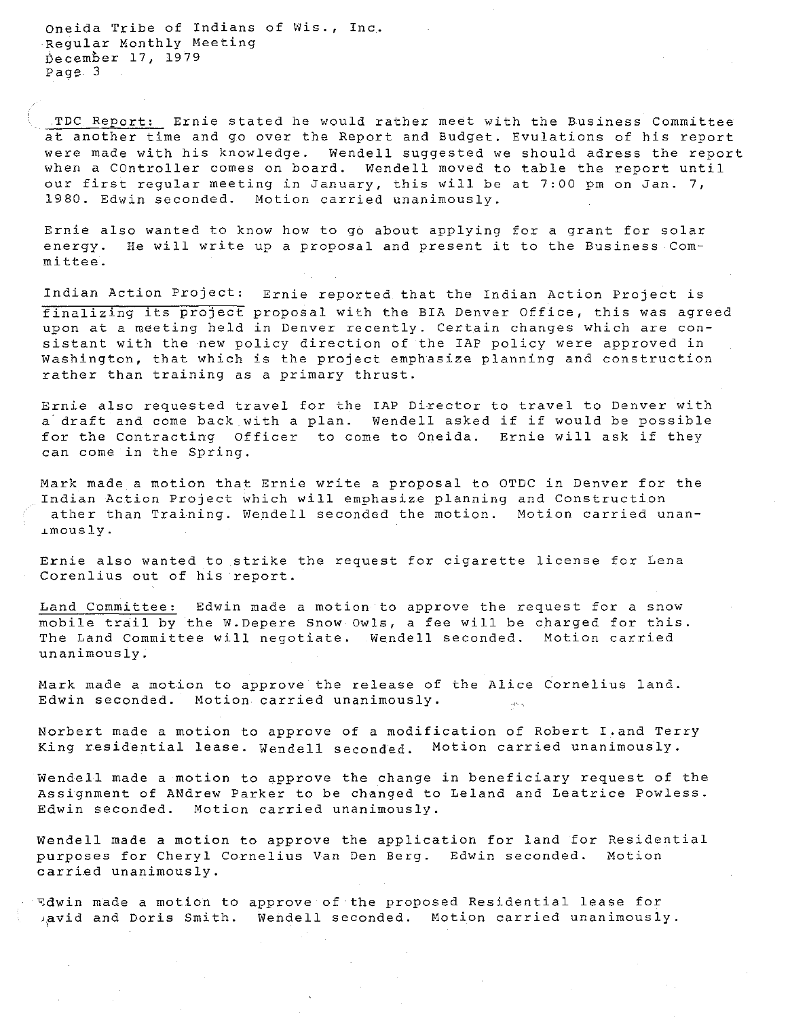**Oneida Tribe of Indians of Wis., Inc.**  Regular Monthly Meeting becember 17, 1979 Page 3

TDC Report: Ernie stated he would rather meet with the Business Committee at another time and go over the Report and Budget. Evulations of his report were made with his knowledge. Wendell suggested we should adress the report when a COntroller comes on board. Wendell moved to table the report until **our first regular meeting in January, this will be at 7:00 pm on Jan. 7, 1980. Edwin seconded. Motion carried unanimously.** 

Ernie also wanted to know how to go about applying for a grant for solar **energy. He will write up a proposal and present it to the Business Committee.** 

**Indian Action Project:** Ernie reported that the Indian Action Project is finalizing its project proposal with the BIA Denver Office, this was agreed **upon at a meeting held in Denver recently. Certain changes which are con**sistant with the new policy direction of the IAP policy were approved in **Washington, that which is the project emphasize planning and construction rather than training as a primary thrust.** 

**Ernie also requested travel for the IAP Director to travel to Denver with**  a draft and come back with a plan. Wendell asked if if would be possible **for the Contracting Officer to come to Oneida. Ernie will ask if they can come in the Spring.** 

**Mark made a motion that Ernie write a proposal to OTDC in Denver for the Indian Action Project which will emphasize planning and Construction ather than Training. Wendell seconded the motion. Motion carried unan-** ~mously.

**Ernie also wanted to strike the request for cigarette license for Lena Corenlius out of his report.** 

**Land Committee: Edwin made a motion to approve the request for a snow**  mobile trail by the W.Depere Snow Owls, a fee will be charged for this. The Land Committee will negotiate. Wendell seconded. Motion carried **unanimously.** 

Mark made a motion to approve the release of the Alice Cornelius land. **Edwin seconded. Motion carried unanimously.**  أيدانيني

**Norbert made a motion to approve of a modification of Robert I.and Terry**  King residential lease. Wendell seconded. Motion carried unanimously.

Wendell made a motion to approve the change in beneficiary request of the Assignment of ANdrew Parker to be changed to Leland and Leatrice Powless. **Edwin seconded. Motion carried unanimously.** 

Wendell made a motion to approve the application for land for Residential purposes for Cheryl Cornelius Van Den Berg. **Edwin seconded. Motion carried unanimously.** 

~dwin made a motion to approve of the proposed Residential lease for Aavid and Doris Smith. Wendell seconded. Motion carried unanimously.